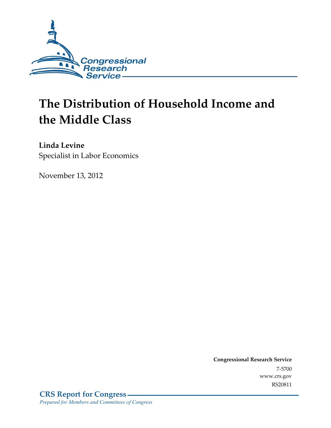

# **The Distribution of Household Income and the Middle Class**

**Linda Levine**  Specialist in Labor Economics

November 13, 2012

**Congressional Research Service**  7-5700 www.crs.gov RS20811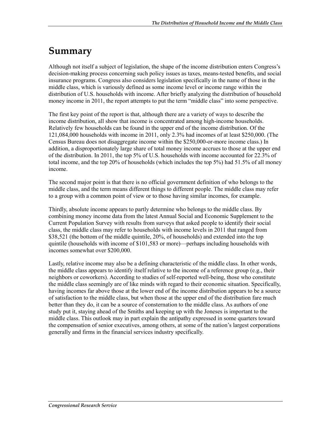### **Summary**

Although not itself a subject of legislation, the shape of the income distribution enters Congress's decision-making process concerning such policy issues as taxes, means-tested benefits, and social insurance programs. Congress also considers legislation specifically in the name of those in the middle class, which is variously defined as some income level or income range within the distribution of U.S. households with income. After briefly analyzing the distribution of household money income in 2011, the report attempts to put the term "middle class" into some perspective.

The first key point of the report is that, although there are a variety of ways to describe the income distribution, all show that income is concentrated among high-income households. Relatively few households can be found in the upper end of the income distribution. Of the 121,084,000 households with income in 2011, only 2.3% had incomes of at least \$250,000. (The Census Bureau does not disaggregate income within the \$250,000-or-more income class.) In addition, a disproportionately large share of total money income accrues to those at the upper end of the distribution. In 2011, the top 5% of U.S. households with income accounted for 22.3% of total income, and the top 20% of households (which includes the top 5%) had 51.5% of all money income.

The second major point is that there is no official government definition of who belongs to the middle class, and the term means different things to different people. The middle class may refer to a group with a common point of view or to those having similar incomes, for example.

Thirdly, absolute income appears to partly determine who belongs to the middle class. By combining money income data from the latest Annual Social and Economic Supplement to the Current Population Survey with results from surveys that asked people to identify their social class, the middle class may refer to households with income levels in 2011 that ranged from \$38,521 (the bottom of the middle quintile, 20%, of households) and extended into the top quintile (households with income of \$101,583 or more)—perhaps including households with incomes somewhat over \$200,000.

Lastly, relative income may also be a defining characteristic of the middle class. In other words, the middle class appears to identify itself relative to the income of a reference group (e.g., their neighbors or coworkers). According to studies of self-reported well-being, those who constitute the middle class seemingly are of like minds with regard to their economic situation. Specifically, having incomes far above those at the lower end of the income distribution appears to be a source of satisfaction to the middle class, but when those at the upper end of the distribution fare much better than they do, it can be a source of consternation to the middle class. As authors of one study put it, staying ahead of the Smiths and keeping up with the Joneses is important to the middle class. This outlook may in part explain the antipathy expressed in some quarters toward the compensation of senior executives, among others, at some of the nation's largest corporations generally and firms in the financial services industry specifically.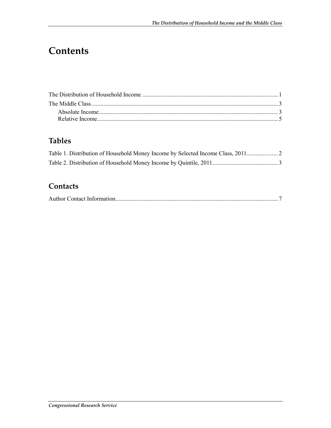# **Contents**

#### **Tables**

| Table 1. Distribution of Household Money Income by Selected Income Class, 2011 |  |
|--------------------------------------------------------------------------------|--|
|                                                                                |  |

#### **Contacts**

|--|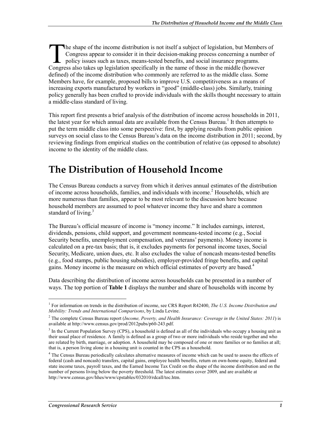he shape of the income distribution is not itself a subject of legislation, but Members of Congress appear to consider it in their decision-making process concerning a number of policy issues such as taxes, means-tested benefits, and social insurance programs. The shape of the income distribution is not itself a subject of legislation, but Members<br>Congress appear to consider it in their decision-making process concerning a number<br>policy issues such as taxes, means-tested benefit defined) of the income distribution who commonly are referred to as the middle class. Some Members have, for example, proposed bills to improve U.S. competitiveness as a means of increasing exports manufactured by workers in "good" (middle-class) jobs. Similarly, training policy generally has been crafted to provide individuals with the skills thought necessary to attain a middle-class standard of living.

This report first presents a brief analysis of the distribution of income across households in 2011, the latest year for which annual data are available from the Census Bureau.<sup>1</sup> It then attempts to put the term middle class into some perspective: first, by applying results from public opinion surveys on social class to the Census Bureau's data on the income distribution in 2011; second, by reviewing findings from empirical studies on the contribution of relative (as opposed to absolute) income to the identity of the middle class.

## **The Distribution of Household Income**

The Census Bureau conducts a survey from which it derives annual estimates of the distribution of income across households, families, and individuals with income.<sup>2</sup> Households, which are more numerous than families, appear to be most relevant to the discussion here because household members are assumed to pool whatever income they have and share a common standard of living. $3$ 

The Bureau's official measure of income is "money income." It includes earnings, interest, dividends, pensions, child support, and government nonmeans-tested income (e.g., Social Security benefits, unemployment compensation, and veterans' payments). Money income is calculated on a pre-tax basis; that is, it excludes payments for personal income taxes, Social Security, Medicare, union dues, etc. It also excludes the value of noncash means-tested benefits (e.g., food stamps, public housing subsidies), employer-provided fringe benefits, and capital gains. Money income is the measure on which official estimates of poverty are based.4

Data describing the distribution of income across households can be presented in a number of ways. The top portion of **Table 1** displays the number and share of households with income by

1

<sup>1</sup> For information on trends in the distribution of income, see CRS Report R42400, *The U.S. Income Distribution and Mobility: Trends and International Comparisons*, by Linda Levine.

<sup>2</sup> The complete Census Bureau report (*Income, Poverty, and Health Insurance: Coverage in the United States: 2011*) is available at http://www.census.gov/prod/2012pubs/p60-243.pdf.

 $3$  In the Current Population Survey (CPS), a household is defined as all of the individuals who occupy a housing unit as their usual place of residence. A family is defined as a group of two or more individuals who reside together and who are related by birth, marriage, or adoption. A household may be composed of one or more families or no families at all; that is, a person living alone in a housing unit is counted in the CPS as a household.

<sup>&</sup>lt;sup>4</sup> The Census Bureau periodically calculates alternative measures of income which can be used to assess the effects of federal (cash and noncash) transfers, capital gains, employee health benefits, return on own-home equity, federal and state income taxes, payroll taxes, and the Earned Income Tax Credit on the shape of the income distribution and on the number of persons living below the poverty threshold. The latest estimates cover 2009, and are available at http://www.census.gov/hhes/www/cpstables/032010/rdcall/toc.htm.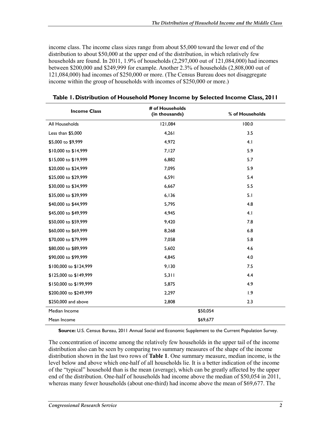income class. The income class sizes range from about \$5,000 toward the lower end of the distribution to about \$50,000 at the upper end of the distribution, in which relatively few households are found. In 2011, 1.9% of households (2,297,000 out of 121,084,000) had incomes between \$200,000 and \$249,999 for example. Another 2.3% of households (2,808,000 out of 121,084,000) had incomes of \$250,000 or more. (The Census Bureau does not disaggregate income within the group of households with incomes of \$250,000 or more.)

| <b>Income Class</b>    | # of Households<br>(in thousands) | % of Households |  |  |
|------------------------|-----------------------------------|-----------------|--|--|
| All Households         | 121,084                           | 100.0           |  |  |
| Less than \$5,000      | 4,261                             | 3.5             |  |  |
| \$5,000 to \$9,999     | 4,972                             | 4.1             |  |  |
| \$10,000 to \$14,999   | 7,127                             | 5.9             |  |  |
| \$15,000 to \$19,999   | 6,882                             | 5.7             |  |  |
| \$20,000 to \$24,999   | 7,095                             | 5.9             |  |  |
| \$25,000 to \$29,999   | 6,591                             | 5.4             |  |  |
| \$30,000 to \$34,999   | 6,667                             | 5.5             |  |  |
| \$35,000 to \$39,999   | 6,136                             | 5.1             |  |  |
| \$40,000 to \$44,999   | 5,795                             | 4.8             |  |  |
| \$45,000 to \$49,999   | 4,945                             | 4.1             |  |  |
| \$50,000 to \$59,999   | 9,420                             | 7.8             |  |  |
| \$60,000 to \$69,999   | 8,268                             | 6.8             |  |  |
| \$70,000 to \$79,999   | 7,058                             | 5.8             |  |  |
| \$80,000 to \$89,999   | 5,602                             | 4.6             |  |  |
| \$90,000 to \$99,999   | 4,845                             | 4.0             |  |  |
| \$100,000 to \$124,999 | 9,130                             | 7.5             |  |  |
| \$125,000 to \$149,999 | 5,311                             | 4.4             |  |  |
| \$150,000 to \$199,999 | 5,875                             | 4.9             |  |  |
| \$200,000 to \$249,999 | 2,297                             | 1.9             |  |  |
| \$250,000 and above    | 2,808                             | 2.3             |  |  |
| Median Income          | \$50,054                          |                 |  |  |
| Mean Income            | \$69,677                          |                 |  |  |

**Table 1. Distribution of Household Money Income by Selected Income Class, 2011** 

**Source:** U.S. Census Bureau, 2011 Annual Social and Economic Supplement to the Current Population Survey.

The concentration of income among the relatively few households in the upper tail of the income distribution also can be seen by comparing two summary measures of the shape of the income distribution shown in the last two rows of **Table 1**. One summary measure, median income, is the level below and above which one-half of all households lie. It is a better indication of the income of the "typical" household than is the mean (average), which can be greatly affected by the upper end of the distribution. One-half of households had income above the median of \$50,054 in 2011, whereas many fewer households (about one-third) had income above the mean of \$69,677. The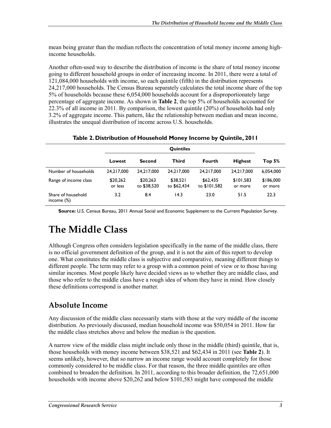mean being greater than the median reflects the concentration of total money income among highincome households.

Another often-used way to describe the distribution of income is the share of total money income going to different household groups in order of increasing income. In 2011, there were a total of 121,084,000 households with income, so each quintile (fifth) in the distribution represents 24,217,000 households. The Census Bureau separately calculates the total income share of the top 5% of households because these 6,054,000 households account for a disproportionately large percentage of aggregate income. As shown in **Table 2**, the top 5% of households accounted for 22.3% of all income in 2011. By comparison, the lowest quintile (20%) of households had only 3.2% of aggregate income. This pattern, like the relationship between median and mean income, illustrates the unequal distribution of income across U.S. households.

|                                     | <b>Quintiles</b>    |                         |                         |                          |                      |                      |
|-------------------------------------|---------------------|-------------------------|-------------------------|--------------------------|----------------------|----------------------|
|                                     | Lowest              | <b>Second</b>           | Third                   | Fourth                   | <b>Highest</b>       | Top 5%               |
| Number of households                | 24.217.000          | 24.217.000              | 24.217.000              | 24.217.000               | 24.217.000           | 6,054,000            |
| Range of income class               | \$20,262<br>or less | \$20,263<br>to \$38,520 | \$38.521<br>to \$62,434 | \$62,435<br>to \$101,582 | \$101,583<br>or more | \$186,000<br>or more |
| Share of household<br>income $(\%)$ | 3.2                 | 8.4                     | 14.3                    | 23.0                     | 51.5                 | 22.3                 |

**Source:** U.S. Census Bureau, 2011 Annual Social and Economic Supplement to the Current Population Survey.

# **The Middle Class**

Although Congress often considers legislation specifically in the name of the middle class, there is no official government definition of the group, and it is not the aim of this report to develop one. What constitutes the middle class is subjective and comparative, meaning different things to different people. The term may refer to a group with a common point of view or to those having similar incomes. Most people likely have decided views as to whether they are middle class, and those who refer to the middle class have a rough idea of whom they have in mind. How closely these definitions correspond is another matter.

#### **Absolute Income**

Any discussion of the middle class necessarily starts with those at the very middle of the income distribution. As previously discussed, median household income was \$50,054 in 2011. How far the middle class stretches above and below the median is the question.

A narrow view of the middle class might include only those in the middle (third) quintile, that is, those households with money income between \$38,521 and \$62,434 in 2011 (see **Table 2**). It seems unlikely, however, that so narrow an income range would account completely for those commonly considered to be middle class. For that reason, the three middle quintiles are often combined to broaden the definition. In 2011, according to this broader definition, the 72,651,000 households with income above \$20,262 and below \$101,583 might have composed the middle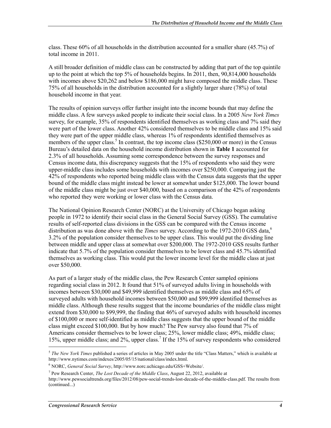class. These 60% of all households in the distribution accounted for a smaller share (45.7%) of total income in 2011.

A still broader definition of middle class can be constructed by adding that part of the top quintile up to the point at which the top 5% of households begins. In 2011, then, 90,814,000 households with incomes above \$20,262 and below \$186,000 might have composed the middle class. These 75% of all households in the distribution accounted for a slightly larger share (78%) of total household income in that year.

The results of opinion surveys offer further insight into the income bounds that may define the middle class. A few surveys asked people to indicate their social class. In a 2005 *New York Times* survey, for example, 35% of respondents identified themselves as working class and 7% said they were part of the lower class. Another 42% considered themselves to be middle class and 15% said they were part of the upper middle class, whereas 1% of respondents identified themselves as members of the upper class.<sup>5</sup> In contrast, the top income class (\$250,000 or more) in the Census Bureau's detailed data on the household income distribution shown in **Table 1** accounted for 2.3% of all households. Assuming some correspondence between the survey responses and Census income data, this discrepancy suggests that the 15% of respondents who said they were upper-middle class includes some households with incomes over \$250,000. Comparing just the 42% of respondents who reported being middle class with the Census data suggests that the upper bound of the middle class might instead be lower at somewhat under \$125,000. The lower bound of the middle class might be just over \$40,000, based on a comparison of the 42% of respondents who reported they were working or lower class with the Census data.

The National Opinion Research Center (NORC) at the University of Chicago began asking people in 1972 to identify their social class in the General Social Survey (GSS). The cumulative results of self-reported class divisions in the GSS can be compared with the Census income distribution as was done above with the *Times* survey. According to the 1972-2010 GSS data,<sup>6</sup> 3.2% of the population consider themselves to be upper class. This would put the dividing line between middle and upper class at somewhat over \$200,000. The 1972-2010 GSS results further indicate that 5.7% of the population consider themselves to be lower class and 45.7% identified themselves as working class. This would put the lower income level for the middle class at just over \$50,000.

As part of a larger study of the middle class, the Pew Research Center sampled opinions regarding social class in 2012. It found that 51% of surveyed adults living in households with incomes between \$30,000 and \$49,999 identified themselves as middle class and 65% of surveyed adults with household incomes between \$50,000 and \$99,999 identified themselves as middle class. Although these results suggest that the income boundaries of the middle class might extend from \$30,000 to \$99,999, the finding that 46% of surveyed adults with household incomes of \$100,000 or more self-identified as middle class suggests that the upper bound of the middle class might exceed \$100,000. But by how much? The Pew survey also found that 7% of Americans consider themselves to be lower class; 25%, lower middle class; 49%, middle class; 15%, upper middle class; and 2%, upper class.<sup>7</sup> If the 15% of survey respondents who considered

1

<sup>5</sup> *The New York Times* published a series of articles in May 2005 under the title "Class Matters," which is available at http://www.nytimes.com/indexes/2005/05/15/national/class/index.html.

<sup>6</sup> NORC, *General Social Survey*, http://www.norc.uchicago.edu/GSS+Website/.

<sup>7</sup> Pew Research Center, *The Lost Decade of the Middle Class*, August 22, 2012, available at

http://www.pewsocialtrends.org/files/2012/08/pew-social-trends-lost-decade-of-the-middle-class.pdf. The results from (continued...)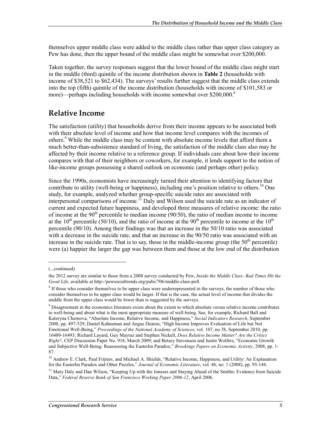themselves upper middle class were added to the middle class rather than upper class category as Pew has done, then the upper bound of the middle class might be somewhat over \$200,000.

Taken together, the survey responses suggest that the lower bound of the middle class might start in the middle (third) quintile of the income distribution shown in **Table 2** (households with income of \$38,521 to \$62,434). The surveys' results further suggest that the middle class extends into the top (fifth) quintile of the income distribution (households with income of \$101,583 or more)—perhaps including households with income somewhat over  $$200,000$ .<sup>8</sup>

#### **Relative Income**

The satisfaction (utility) that households derive from their income appears to be associated both with their absolute level of income and how that income level compares with the incomes of others.<sup>9</sup> While the middle class may be content with absolute income levels that afford them a much better-than-subsistence standard of living, the satisfaction of the middle class also may be affected by their income relative to a reference group. If individuals care about how their income compares with that of their neighbors or coworkers, for example, it lends support to the notion of like-income groups possessing a shared outlook on economic (and perhaps other) policy.

Since the 1990s, economists have increasingly turned their attention to identifying factors that contribute to utility (well-being or happiness), including one's position relative to others.<sup>10</sup> One study, for example, analyzed whether group-specific suicide rates are associated with interpersonal comparisons of income.<sup>11</sup> Daly and Wilson used the suicide rate as an indicator of current and expected future happiness, and developed three measures of relative income: the ratio of income at the  $90<sup>th</sup>$  percentile to median income (90/50), the ratio of median income to income at the 10<sup>th</sup> percentile (50/10), and the ratio of income at the 90<sup>th</sup> percentile to income at the 10<sup>th</sup> percentile (90/10). Among their findings was that an increase in the 50/10 ratio was associated with a decrease in the suicide rate, and that an increase in the 90/50 ratio was associated with an increase in the suicide rate. That is to say, those in the middle-income group (the  $50<sup>th</sup>$  percentile) were (a) happier the larger the gap was between them and those at the low end of the distribution

 $\overline{\phantom{a}}$ 

<sup>(...</sup>continued)

the 2012 survey are similar to those from a 2008 survey conducted by Pew, *Inside the Middle Class: Bad Times Hit the Good Life*, available at http://pewsocialtrends.org/pubs/706/middle-class-poll.

<sup>&</sup>lt;sup>8</sup> If those who consider themselves to be upper class were underrepresented in the surveys, the number of those who consider themselves to be upper class would be larger. If that is the case, the actual level of income that divides the middle from the upper class would be lower than is suggested by the surveys.

<sup>&</sup>lt;sup>9</sup> Disagreement in the economics literature exists about the extent to which absolute versus relative income contributes to well-being and about what is the most appropriate measure of well-being. See, for example, Richard Ball and Kateryna Chernova, "Absolute Income, Relative Income, and Happiness," *Social Indicators Research*, September 2008, pp. 497-529; Daniel Kahneman and Angus Deaton, "High Income Improves Evaluation of Life but Not Emotional Well-Being," *Proceedings of the National Academy of Sciences*, vol. 107, no 38, September 2010, pp. 16489-16493; Richard Layard, Guy Mayraz and Stephen Nickell, *Does Relative Income Matter? Are the Critics Right?*, CEP Discussion Paper No. 918, March 2009; and Betsey Stevenson and Justin Wolfers, "Economic Growth and Subjective Well-Being: Reassessing the Easterlin Paradox," *Brookings Papers on Economic Activity*, 2008, pp. 1- 87.

<sup>&</sup>lt;sup>10</sup> Andrew E. Clark, Paul Frijters, and Michael A. Shields, "Relative Income, Happiness, and Utility: An Explanation for the Easterlin Paradox and Other Puzzles," *Journal of Economic Literature*, vol. 46, no. 1 (2008), pp. 95-144.

 $<sup>11</sup>$  Mary Daly and Dan Wilson, "Keeping Up with the Joneses and Staying Ahead of the Smiths: Evidence from Suicide</sup> Data," *Federal Reserve Bank of San Francisco Working Paper 2006-12*, April 2006.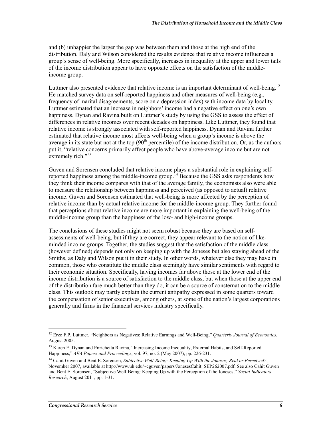and (b) unhappier the larger the gap was between them and those at the high end of the distribution. Daly and Wilson considered the results evidence that relative income influences a group's sense of well-being. More specifically, increases in inequality at the upper and lower tails of the income distribution appear to have opposite effects on the satisfaction of the middleincome group.

Luttmer also presented evidence that relative income is an important determinant of well-being.<sup>12</sup> He matched survey data on self-reported happiness and other measures of well-being (e.g., frequency of marital disagreements, score on a depression index) with income data by locality. Luttmer estimated that an increase in neighbors' income had a negative effect on one's own happiness. Dynan and Ravina built on Luttmer's study by using the GSS to assess the effect of differences in relative incomes over recent decades on happiness. Like Luttmer, they found that relative income is strongly associated with self-reported happiness. Dynan and Ravina further estimated that relative income most affects well-being when a group's income is above the average in its state but not at the top  $(90<sup>th</sup>$  percentile) of the income distribution. Or, as the authors put it, "relative concerns primarily affect people who have above-average income but are not extremely rich."<sup>13</sup>

Guven and Sorensen concluded that relative income plays a substantial role in explaining selfreported happiness among the middle-income group.<sup>14</sup> Because the GSS asks respondents how they think their income compares with that of the average family, the economists also were able to measure the relationship between happiness and perceived (as opposed to actual) relative income. Guven and Sorensen estimated that well-being is more affected by the perception of relative income than by actual relative income for the middle-income group. They further found that perceptions about relative income are more important in explaining the well-being of the middle-income group than the happiness of the low- and high-income groups.

The conclusions of these studies might not seem robust because they are based on selfassessments of well-being, but if they are correct, they appear relevant to the notion of likeminded income groups. Together, the studies suggest that the satisfaction of the middle class (however defined) depends not only on keeping up with the Joneses but also staying ahead of the Smiths, as Daly and Wilson put it in their study. In other words, whatever else they may have in common, those who constitute the middle class seemingly have similar sentiments with regard to their economic situation. Specifically, having incomes far above those at the lower end of the income distribution is a source of satisfaction to the middle class, but when those at the upper end of the distribution fare much better than they do, it can be a source of consternation to the middle class. This outlook may partly explain the current antipathy expressed in some quarters toward the compensation of senior executives, among others, at some of the nation's largest corporations generally and firms in the financial services industry specifically.

1

<sup>12</sup> Erzo F.P. Luttmer, "Neighbors as Negatives: Relative Earnings and Well-Being," *Quarterly Journal of Economics*, August 2005.

<sup>&</sup>lt;sup>13</sup> Karen E. Dynan and Enrichetta Ravina, "Increasing Income Inequality, External Habits, and Self-Reported Happiness," *AEA Papers and Proceedings*, vol. 97, no. 2 (May 2007), pp. 226-231.

<sup>14</sup> Cahit Guven and Bent E. Sorensen, *Subjective Well-Being: Keeping Up With the Joneses, Real or Perceived?*, November 2007, available at http://www.uh.edu/~cguven/papers/JonesesCahit\_SEP262007.pdf. See also Cahit Guven and Bent E. Sorensen, "Subjective Well-Being: Keeping Up with the Perception of the Joneses," *Social Indicators Research*, August 2011, pp. 1-31.